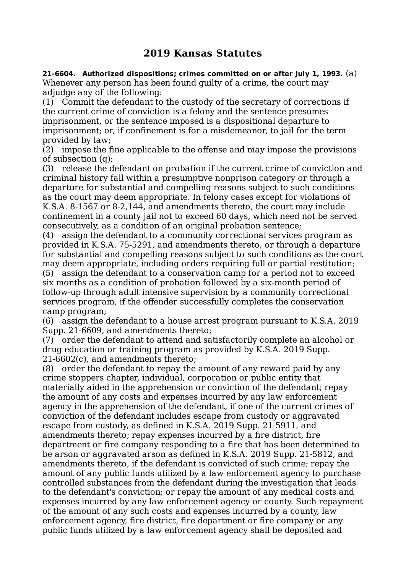## **2019 Kansas Statutes**

**21-6604. Authorized dispositions; crimes committed on or after July 1, 1993.** (a) Whenever any person has been found guilty of a crime, the court may adjudge any of the following:

(1) Commit the defendant to the custody of the secretary of corrections if the current crime of conviction is a felony and the sentence presumes imprisonment, or the sentence imposed is a dispositional departure to imprisonment; or, if confinement is for a misdemeanor, to jail for the term provided by law;

(2) impose the fine applicable to the offense and may impose the provisions of subsection (q);

(3) release the defendant on probation if the current crime of conviction and criminal history fall within a presumptive nonprison category or through a departure for substantial and compelling reasons subject to such conditions as the court may deem appropriate. In felony cases except for violations of K.S.A. 8-1567 or 8-2,144, and amendments thereto, the court may include confinement in a county jail not to exceed 60 days, which need not be served consecutively, as a condition of an original probation sentence;

(4) assign the defendant to a community correctional services program as provided in K.S.A. 75-5291, and amendments thereto, or through a departure for substantial and compelling reasons subject to such conditions as the court may deem appropriate, including orders requiring full or partial restitution; (5) assign the defendant to a conservation camp for a period not to exceed six months as a condition of probation followed by a six-month period of follow-up through adult intensive supervision by a community correctional services program, if the offender successfully completes the conservation camp program;

(6) assign the defendant to a house arrest program pursuant to K.S.A. 2019 Supp. 21-6609, and amendments thereto;

(7) order the defendant to attend and satisfactorily complete an alcohol or drug education or training program as provided by K.S.A. 2019 Supp. 21-6602(c), and amendments thereto;

(8) order the defendant to repay the amount of any reward paid by any crime stoppers chapter, individual, corporation or public entity that materially aided in the apprehension or conviction of the defendant; repay the amount of any costs and expenses incurred by any law enforcement agency in the apprehension of the defendant, if one of the current crimes of conviction of the defendant includes escape from custody or aggravated escape from custody, as defined in K.S.A. 2019 Supp. 21-5911, and amendments thereto; repay expenses incurred by a fire district, fire department or fire company responding to a fire that has been determined to be arson or aggravated arson as defined in K.S.A. 2019 Supp. 21-5812, and amendments thereto, if the defendant is convicted of such crime; repay the amount of any public funds utilized by a law enforcement agency to purchase controlled substances from the defendant during the investigation that leads to the defendant's conviction; or repay the amount of any medical costs and expenses incurred by any law enforcement agency or county. Such repayment of the amount of any such costs and expenses incurred by a county, law enforcement agency, fire district, fire department or fire company or any public funds utilized by a law enforcement agency shall be deposited and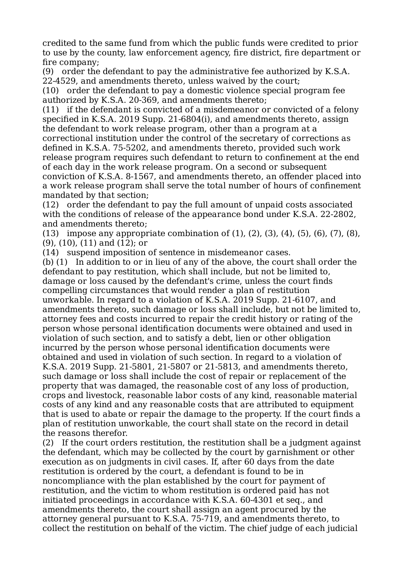credited to the same fund from which the public funds were credited to prior to use by the county, law enforcement agency, fire district, fire department or fire company;

(9) order the defendant to pay the administrative fee authorized by K.S.A. 22-4529, and amendments thereto, unless waived by the court;

(10) order the defendant to pay a domestic violence special program fee authorized by K.S.A. 20-369, and amendments thereto;

(11) if the defendant is convicted of a misdemeanor or convicted of a felony specified in K.S.A. 2019 Supp. 21-6804(i), and amendments thereto, assign the defendant to work release program, other than a program at a correctional institution under the control of the secretary of corrections as defined in K.S.A. 75-5202, and amendments thereto, provided such work release program requires such defendant to return to confinement at the end of each day in the work release program. On a second or subsequent conviction of K.S.A. 8-1567, and amendments thereto, an offender placed into a work release program shall serve the total number of hours of confinement mandated by that section;

(12) order the defendant to pay the full amount of unpaid costs associated with the conditions of release of the appearance bond under K.S.A. 22-2802, and amendments thereto;

(13) impose any appropriate combination of (1), (2), (3), (4), (5), (6), (7), (8), (9), (10), (11) and (12); or

(14) suspend imposition of sentence in misdemeanor cases.

(b) (1) In addition to or in lieu of any of the above, the court shall order the defendant to pay restitution, which shall include, but not be limited to, damage or loss caused by the defendant's crime, unless the court finds compelling circumstances that would render a plan of restitution unworkable. In regard to a violation of K.S.A. 2019 Supp. 21-6107, and amendments thereto, such damage or loss shall include, but not be limited to, attorney fees and costs incurred to repair the credit history or rating of the person whose personal identification documents were obtained and used in violation of such section, and to satisfy a debt, lien or other obligation incurred by the person whose personal identification documents were obtained and used in violation of such section. In regard to a violation of K.S.A. 2019 Supp. 21-5801, 21-5807 or 21-5813, and amendments thereto, such damage or loss shall include the cost of repair or replacement of the property that was damaged, the reasonable cost of any loss of production, crops and livestock, reasonable labor costs of any kind, reasonable material costs of any kind and any reasonable costs that are attributed to equipment that is used to abate or repair the damage to the property. If the court finds a plan of restitution unworkable, the court shall state on the record in detail the reasons therefor.

(2) If the court orders restitution, the restitution shall be a judgment against the defendant, which may be collected by the court by garnishment or other execution as on judgments in civil cases. If, after 60 days from the date restitution is ordered by the court, a defendant is found to be in noncompliance with the plan established by the court for payment of restitution, and the victim to whom restitution is ordered paid has not initiated proceedings in accordance with K.S.A. 60-4301 et seq., and amendments thereto, the court shall assign an agent procured by the attorney general pursuant to K.S.A. 75-719, and amendments thereto, to collect the restitution on behalf of the victim. The chief judge of each judicial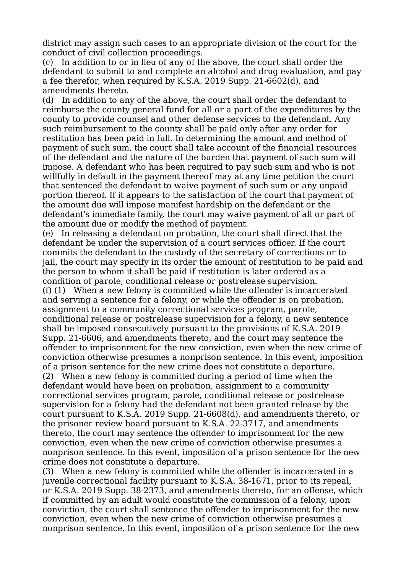district may assign such cases to an appropriate division of the court for the conduct of civil collection proceedings.

(c) In addition to or in lieu of any of the above, the court shall order the defendant to submit to and complete an alcohol and drug evaluation, and pay a fee therefor, when required by K.S.A. 2019 Supp. 21-6602(d), and amendments thereto.

(d) In addition to any of the above, the court shall order the defendant to reimburse the county general fund for all or a part of the expenditures by the county to provide counsel and other defense services to the defendant. Any such reimbursement to the county shall be paid only after any order for restitution has been paid in full. In determining the amount and method of payment of such sum, the court shall take account of the financial resources of the defendant and the nature of the burden that payment of such sum will impose. A defendant who has been required to pay such sum and who is not willfully in default in the payment thereof may at any time petition the court that sentenced the defendant to waive payment of such sum or any unpaid portion thereof. If it appears to the satisfaction of the court that payment of the amount due will impose manifest hardship on the defendant or the defendant's immediate family, the court may waive payment of all or part of the amount due or modify the method of payment.

(e) In releasing a defendant on probation, the court shall direct that the defendant be under the supervision of a court services officer. If the court commits the defendant to the custody of the secretary of corrections or to jail, the court may specify in its order the amount of restitution to be paid and the person to whom it shall be paid if restitution is later ordered as a condition of parole, conditional release or postrelease supervision. (f) (1) When a new felony is committed while the offender is incarcerated and serving a sentence for a felony, or while the offender is on probation, assignment to a community correctional services program, parole, conditional release or postrelease supervision for a felony, a new sentence shall be imposed consecutively pursuant to the provisions of K.S.A. 2019 Supp. 21-6606, and amendments thereto, and the court may sentence the offender to imprisonment for the new conviction, even when the new crime of conviction otherwise presumes a nonprison sentence. In this event, imposition of a prison sentence for the new crime does not constitute a departure. (2) When a new felony is committed during a period of time when the defendant would have been on probation, assignment to a community correctional services program, parole, conditional release or postrelease supervision for a felony had the defendant not been granted release by the

court pursuant to K.S.A. 2019 Supp. 21-6608(d), and amendments thereto, or the prisoner review board pursuant to K.S.A. 22-3717, and amendments thereto, the court may sentence the offender to imprisonment for the new conviction, even when the new crime of conviction otherwise presumes a nonprison sentence. In this event, imposition of a prison sentence for the new crime does not constitute a departure.

(3) When a new felony is committed while the offender is incarcerated in a juvenile correctional facility pursuant to K.S.A. 38-1671, prior to its repeal, or K.S.A. 2019 Supp. 38-2373, and amendments thereto, for an offense, which if committed by an adult would constitute the commission of a felony, upon conviction, the court shall sentence the offender to imprisonment for the new conviction, even when the new crime of conviction otherwise presumes a nonprison sentence. In this event, imposition of a prison sentence for the new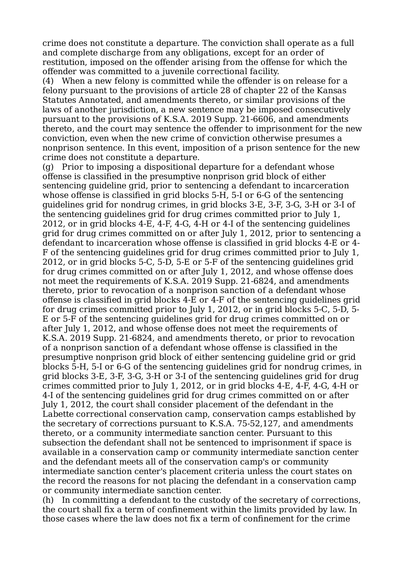crime does not constitute a departure. The conviction shall operate as a full and complete discharge from any obligations, except for an order of restitution, imposed on the offender arising from the offense for which the offender was committed to a juvenile correctional facility.

(4) When a new felony is committed while the offender is on release for a felony pursuant to the provisions of article 28 of chapter 22 of the Kansas Statutes Annotated, and amendments thereto, or similar provisions of the laws of another jurisdiction, a new sentence may be imposed consecutively pursuant to the provisions of K.S.A. 2019 Supp. 21-6606, and amendments thereto, and the court may sentence the offender to imprisonment for the new conviction, even when the new crime of conviction otherwise presumes a nonprison sentence. In this event, imposition of a prison sentence for the new crime does not constitute a departure.

(g) Prior to imposing a dispositional departure for a defendant whose offense is classified in the presumptive nonprison grid block of either sentencing guideline grid, prior to sentencing a defendant to incarceration whose offense is classified in grid blocks 5-H, 5-I or 6-G of the sentencing guidelines grid for nondrug crimes, in grid blocks 3-E, 3-F, 3-G, 3-H or 3-I of the sentencing guidelines grid for drug crimes committed prior to July 1, 2012, or in grid blocks 4-E, 4-F, 4-G, 4-H or 4-I of the sentencing guidelines grid for drug crimes committed on or after July 1, 2012, prior to sentencing a defendant to incarceration whose offense is classified in grid blocks 4-E or 4- F of the sentencing guidelines grid for drug crimes committed prior to July 1, 2012, or in grid blocks 5-C, 5-D, 5-E or 5-F of the sentencing guidelines grid for drug crimes committed on or after July 1, 2012, and whose offense does not meet the requirements of K.S.A. 2019 Supp. 21-6824, and amendments thereto, prior to revocation of a nonprison sanction of a defendant whose offense is classified in grid blocks 4-E or 4-F of the sentencing guidelines grid for drug crimes committed prior to July 1, 2012, or in grid blocks 5-C, 5-D, 5- E or 5-F of the sentencing guidelines grid for drug crimes committed on or after July 1, 2012, and whose offense does not meet the requirements of K.S.A. 2019 Supp. 21-6824, and amendments thereto, or prior to revocation of a nonprison sanction of a defendant whose offense is classified in the presumptive nonprison grid block of either sentencing guideline grid or grid blocks 5-H, 5-I or 6-G of the sentencing guidelines grid for nondrug crimes, in grid blocks 3-E, 3-F, 3-G, 3-H or 3-I of the sentencing guidelines grid for drug crimes committed prior to July 1, 2012, or in grid blocks 4-E, 4-F, 4-G, 4-H or 4-I of the sentencing guidelines grid for drug crimes committed on or after July 1, 2012, the court shall consider placement of the defendant in the Labette correctional conservation camp, conservation camps established by the secretary of corrections pursuant to K.S.A. 75-52,127, and amendments thereto, or a community intermediate sanction center. Pursuant to this subsection the defendant shall not be sentenced to imprisonment if space is available in a conservation camp or community intermediate sanction center and the defendant meets all of the conservation camp's or community intermediate sanction center's placement criteria unless the court states on the record the reasons for not placing the defendant in a conservation camp or community intermediate sanction center.

(h) In committing a defendant to the custody of the secretary of corrections, the court shall fix a term of confinement within the limits provided by law. In those cases where the law does not fix a term of confinement for the crime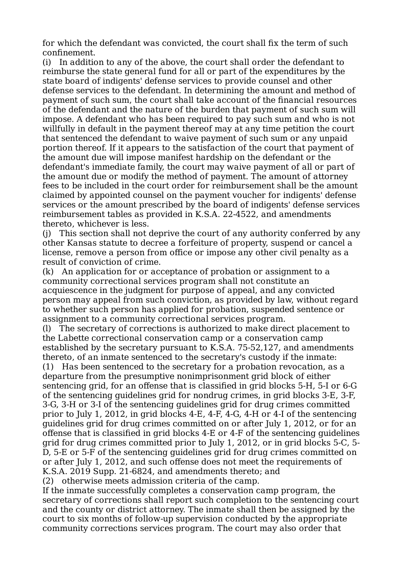for which the defendant was convicted, the court shall fix the term of such confinement.

(i) In addition to any of the above, the court shall order the defendant to reimburse the state general fund for all or part of the expenditures by the state board of indigents' defense services to provide counsel and other defense services to the defendant. In determining the amount and method of payment of such sum, the court shall take account of the financial resources of the defendant and the nature of the burden that payment of such sum will impose. A defendant who has been required to pay such sum and who is not willfully in default in the payment thereof may at any time petition the court that sentenced the defendant to waive payment of such sum or any unpaid portion thereof. If it appears to the satisfaction of the court that payment of the amount due will impose manifest hardship on the defendant or the defendant's immediate family, the court may waive payment of all or part of the amount due or modify the method of payment. The amount of attorney fees to be included in the court order for reimbursement shall be the amount claimed by appointed counsel on the payment voucher for indigents' defense services or the amount prescribed by the board of indigents' defense services reimbursement tables as provided in K.S.A. 22-4522, and amendments thereto, whichever is less.

(j) This section shall not deprive the court of any authority conferred by any other Kansas statute to decree a forfeiture of property, suspend or cancel a license, remove a person from office or impose any other civil penalty as a result of conviction of crime.

(k) An application for or acceptance of probation or assignment to a community correctional services program shall not constitute an acquiescence in the judgment for purpose of appeal, and any convicted person may appeal from such conviction, as provided by law, without regard to whether such person has applied for probation, suspended sentence or assignment to a community correctional services program.

(l) The secretary of corrections is authorized to make direct placement to the Labette correctional conservation camp or a conservation camp established by the secretary pursuant to K.S.A. 75-52,127, and amendments thereto, of an inmate sentenced to the secretary's custody if the inmate:

(1) Has been sentenced to the secretary for a probation revocation, as a departure from the presumptive nonimprisonment grid block of either sentencing grid, for an offense that is classified in grid blocks 5-H, 5-I or 6-G of the sentencing guidelines grid for nondrug crimes, in grid blocks 3-E, 3-F, 3-G, 3-H or 3-I of the sentencing guidelines grid for drug crimes committed prior to July 1, 2012, in grid blocks 4-E, 4-F, 4-G, 4-H or 4-I of the sentencing guidelines grid for drug crimes committed on or after July 1, 2012, or for an offense that is classified in grid blocks 4-E or 4-F of the sentencing guidelines grid for drug crimes committed prior to July 1, 2012, or in grid blocks 5-C, 5- D, 5-E or 5-F of the sentencing guidelines grid for drug crimes committed on or after July 1, 2012, and such offense does not meet the requirements of K.S.A. 2019 Supp. 21-6824, and amendments thereto; and

(2) otherwise meets admission criteria of the camp.

If the inmate successfully completes a conservation camp program, the secretary of corrections shall report such completion to the sentencing court and the county or district attorney. The inmate shall then be assigned by the court to six months of follow-up supervision conducted by the appropriate community corrections services program. The court may also order that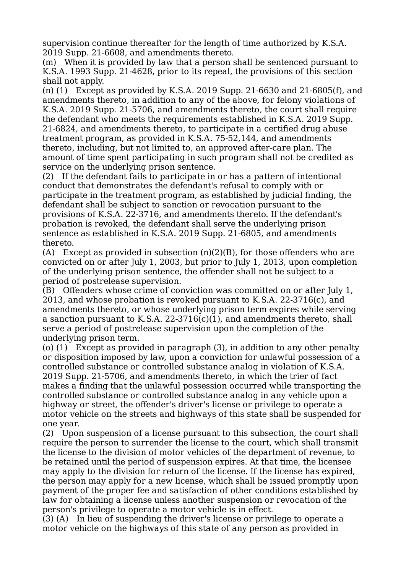supervision continue thereafter for the length of time authorized by K.S.A. 2019 Supp. 21-6608, and amendments thereto.

(m) When it is provided by law that a person shall be sentenced pursuant to K.S.A. 1993 Supp. 21-4628, prior to its repeal, the provisions of this section shall not apply.

(n) (1) Except as provided by K.S.A. 2019 Supp. 21-6630 and 21-6805(f), and amendments thereto, in addition to any of the above, for felony violations of K.S.A. 2019 Supp. 21-5706, and amendments thereto, the court shall require the defendant who meets the requirements established in K.S.A. 2019 Supp. 21-6824, and amendments thereto, to participate in a certified drug abuse treatment program, as provided in K.S.A. 75-52,144, and amendments thereto, including, but not limited to, an approved after-care plan. The amount of time spent participating in such program shall not be credited as service on the underlying prison sentence.

(2) If the defendant fails to participate in or has a pattern of intentional conduct that demonstrates the defendant's refusal to comply with or participate in the treatment program, as established by judicial finding, the defendant shall be subject to sanction or revocation pursuant to the provisions of K.S.A. 22-3716, and amendments thereto. If the defendant's probation is revoked, the defendant shall serve the underlying prison sentence as established in K.S.A. 2019 Supp. 21-6805, and amendments thereto.

(A) Except as provided in subsection  $(n)(2)(B)$ , for those offenders who are convicted on or after July 1, 2003, but prior to July 1, 2013, upon completion of the underlying prison sentence, the offender shall not be subject to a period of postrelease supervision.

(B) Offenders whose crime of conviction was committed on or after July 1, 2013, and whose probation is revoked pursuant to K.S.A. 22-3716(c), and amendments thereto, or whose underlying prison term expires while serving a sanction pursuant to K.S.A. 22-3716(c)(1), and amendments thereto, shall serve a period of postrelease supervision upon the completion of the underlying prison term.

(o) (1) Except as provided in paragraph (3), in addition to any other penalty or disposition imposed by law, upon a conviction for unlawful possession of a controlled substance or controlled substance analog in violation of K.S.A. 2019 Supp. 21-5706, and amendments thereto, in which the trier of fact makes a finding that the unlawful possession occurred while transporting the controlled substance or controlled substance analog in any vehicle upon a highway or street, the offender's driver's license or privilege to operate a motor vehicle on the streets and highways of this state shall be suspended for one year.

(2) Upon suspension of a license pursuant to this subsection, the court shall require the person to surrender the license to the court, which shall transmit the license to the division of motor vehicles of the department of revenue, to be retained until the period of suspension expires. At that time, the licensee may apply to the division for return of the license. If the license has expired, the person may apply for a new license, which shall be issued promptly upon payment of the proper fee and satisfaction of other conditions established by law for obtaining a license unless another suspension or revocation of the person's privilege to operate a motor vehicle is in effect.

(3) (A) In lieu of suspending the driver's license or privilege to operate a motor vehicle on the highways of this state of any person as provided in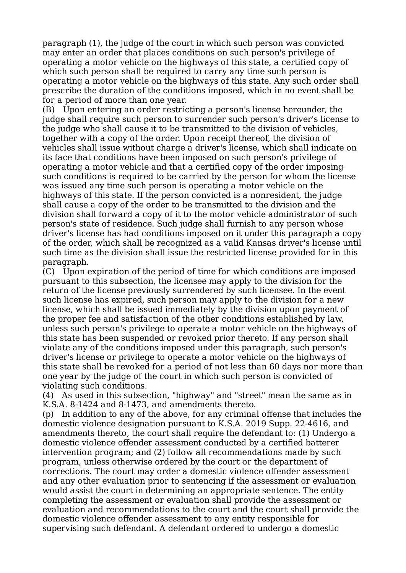paragraph (1), the judge of the court in which such person was convicted may enter an order that places conditions on such person's privilege of operating a motor vehicle on the highways of this state, a certified copy of which such person shall be required to carry any time such person is operating a motor vehicle on the highways of this state. Any such order shall prescribe the duration of the conditions imposed, which in no event shall be for a period of more than one year.

(B) Upon entering an order restricting a person's license hereunder, the judge shall require such person to surrender such person's driver's license to the judge who shall cause it to be transmitted to the division of vehicles, together with a copy of the order. Upon receipt thereof, the division of vehicles shall issue without charge a driver's license, which shall indicate on its face that conditions have been imposed on such person's privilege of operating a motor vehicle and that a certified copy of the order imposing such conditions is required to be carried by the person for whom the license was issued any time such person is operating a motor vehicle on the highways of this state. If the person convicted is a nonresident, the judge shall cause a copy of the order to be transmitted to the division and the division shall forward a copy of it to the motor vehicle administrator of such person's state of residence. Such judge shall furnish to any person whose driver's license has had conditions imposed on it under this paragraph a copy of the order, which shall be recognized as a valid Kansas driver's license until such time as the division shall issue the restricted license provided for in this paragraph.

(C) Upon expiration of the period of time for which conditions are imposed pursuant to this subsection, the licensee may apply to the division for the return of the license previously surrendered by such licensee. In the event such license has expired, such person may apply to the division for a new license, which shall be issued immediately by the division upon payment of the proper fee and satisfaction of the other conditions established by law, unless such person's privilege to operate a motor vehicle on the highways of this state has been suspended or revoked prior thereto. If any person shall violate any of the conditions imposed under this paragraph, such person's driver's license or privilege to operate a motor vehicle on the highways of this state shall be revoked for a period of not less than 60 days nor more than one year by the judge of the court in which such person is convicted of violating such conditions.

(4) As used in this subsection, "highway" and "street" mean the same as in K.S.A. 8-1424 and 8-1473, and amendments thereto.

(p) In addition to any of the above, for any criminal offense that includes the domestic violence designation pursuant to K.S.A. 2019 Supp. 22-4616, and amendments thereto, the court shall require the defendant to: (1) Undergo a domestic violence offender assessment conducted by a certified batterer intervention program; and (2) follow all recommendations made by such program, unless otherwise ordered by the court or the department of corrections. The court may order a domestic violence offender assessment and any other evaluation prior to sentencing if the assessment or evaluation would assist the court in determining an appropriate sentence. The entity completing the assessment or evaluation shall provide the assessment or evaluation and recommendations to the court and the court shall provide the domestic violence offender assessment to any entity responsible for supervising such defendant. A defendant ordered to undergo a domestic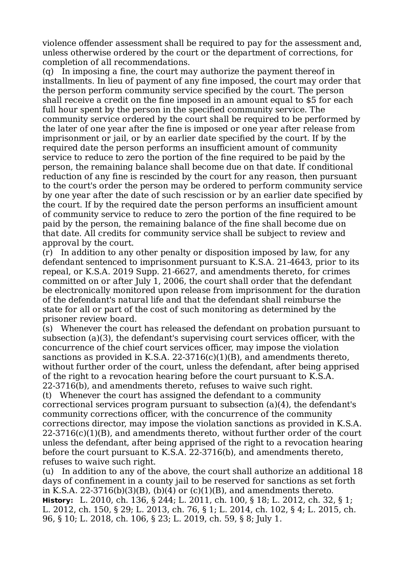violence offender assessment shall be required to pay for the assessment and, unless otherwise ordered by the court or the department of corrections, for completion of all recommendations.

(q) In imposing a fine, the court may authorize the payment thereof in installments. In lieu of payment of any fine imposed, the court may order that the person perform community service specified by the court. The person shall receive a credit on the fine imposed in an amount equal to \$5 for each full hour spent by the person in the specified community service. The community service ordered by the court shall be required to be performed by the later of one year after the fine is imposed or one year after release from imprisonment or jail, or by an earlier date specified by the court. If by the required date the person performs an insufficient amount of community service to reduce to zero the portion of the fine required to be paid by the person, the remaining balance shall become due on that date. If conditional reduction of any fine is rescinded by the court for any reason, then pursuant to the court's order the person may be ordered to perform community service by one year after the date of such rescission or by an earlier date specified by the court. If by the required date the person performs an insufficient amount of community service to reduce to zero the portion of the fine required to be paid by the person, the remaining balance of the fine shall become due on that date. All credits for community service shall be subject to review and approval by the court.

(r) In addition to any other penalty or disposition imposed by law, for any defendant sentenced to imprisonment pursuant to K.S.A. 21-4643, prior to its repeal, or K.S.A. 2019 Supp. 21-6627, and amendments thereto, for crimes committed on or after July 1, 2006, the court shall order that the defendant be electronically monitored upon release from imprisonment for the duration of the defendant's natural life and that the defendant shall reimburse the state for all or part of the cost of such monitoring as determined by the prisoner review board.

(s) Whenever the court has released the defendant on probation pursuant to subsection (a)(3), the defendant's supervising court services officer, with the concurrence of the chief court services officer, may impose the violation sanctions as provided in K.S.A. 22-3716(c)(1)(B), and amendments thereto, without further order of the court, unless the defendant, after being apprised of the right to a revocation hearing before the court pursuant to K.S.A. 22-3716(b), and amendments thereto, refuses to waive such right.

(t) Whenever the court has assigned the defendant to a community correctional services program pursuant to subsection (a)(4), the defendant's community corrections officer, with the concurrence of the community corrections director, may impose the violation sanctions as provided in K.S.A.  $22-3716(c)(1)(B)$ , and amendments thereto, without further order of the court unless the defendant, after being apprised of the right to a revocation hearing before the court pursuant to K.S.A. 22-3716(b), and amendments thereto, refuses to waive such right.

(u) In addition to any of the above, the court shall authorize an additional 18 days of confinement in a county jail to be reserved for sanctions as set forth in K.S.A. 22-3716(b)(3)(B), (b)(4) or (c)(1)(B), and amendments thereto. **History:** L. 2010, ch. 136, § 244; L. 2011, ch. 100, § 18; L. 2012, ch. 32, § 1; L. 2012, ch. 150, § 29; L. 2013, ch. 76, § 1; L. 2014, ch. 102, § 4; L. 2015, ch. 96, § 10; L. 2018, ch. 106, § 23; L. 2019, ch. 59, § 8; July 1.